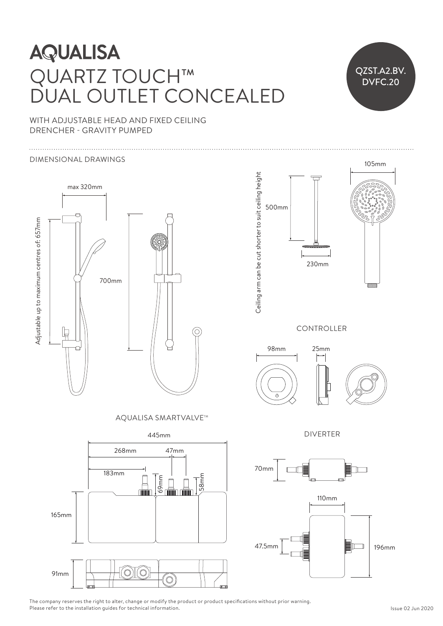## **AQUALISA** QUARTZ TOUCH™ RI/ IUUU.H<sup>....</sup>  $\angle$  construction are constructed to suitable to suitable to suitable to suitable to suitable to suitable to suitable to suitable to suitable to suitable to suitable to suitable to suitable to suitable to suitable to suit DUAL OUTLET CONCEALED 500 DUAL OUTLET CON DUAL OUTLET CONCE

515mm 230mm

515mm 230mm



WITH ADJUSTABLE HEAD AND FIXED CEILING DRENCHER - GRAVITY PUMPED

#### DIMENSIONAL DRAWINGS 230mm 230mm



AQUALISA SMARTVALVE™





The company reserves the right to alter, change or modify the product or product specifications without prior warning. Please refer to the installation guides for technical information.